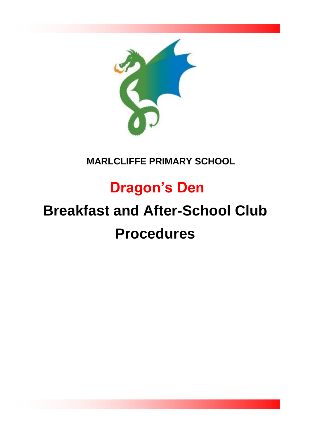

### **MARLCLIFFE PRIMARY SCHOOL**

## **Dragon's Den**

# **Breakfast and After-School Club Procedures**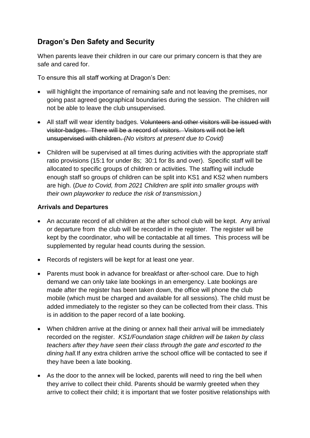#### **Dragon's Den Safety and Security**

When parents leave their children in our care our primary concern is that they are safe and cared for.

To ensure this all staff working at Dragon's Den:

- will highlight the importance of remaining safe and not leaving the premises, nor going past agreed geographical boundaries during the session. The children will not be able to leave the club unsupervised.
- All staff will wear identity badges. Volunteers and other visitors will be issued with visitor-badges. There will be a record of visitors. Visitors will not be left unsupervised with children. *(No visitors at present due to Covid)*
- Children will be supervised at all times during activities with the appropriate staff ratio provisions (15:1 for under 8s; 30:1 for 8s and over). Specific staff will be allocated to specific groups of children or activities. The staffing will include enough staff so groups of children can be split into KS1 and KS2 when numbers are high. (*Due to Covid, from 2021 Children are split into smaller groups with their own playworker to reduce the risk of transmission.)*

#### **Arrivals and Departures**

- An accurate record of all children at the after school club will be kept. Any arrival or departure from the club will be recorded in the register. The register will be kept by the coordinator, who will be contactable at all times. This process will be supplemented by regular head counts during the session.
- Records of registers will be kept for at least one year.
- Parents must book in advance for breakfast or after-school care. Due to high demand we can only take late bookings in an emergency. Late bookings are made after the register has been taken down, the office will phone the club mobile (which must be charged and available for all sessions). The child must be added immediately to the register so they can be collected from their class. This is in addition to the paper record of a late booking.
- When children arrive at the dining or annex hall their arrival will be immediately recorded on the register. *KS1/Foundation stage children will be taken by class teachers after they have seen their class through the gate and escorted to the dining hall.*If any extra children arrive the school office will be contacted to see if they have been a late booking.
- As the door to the annex will be locked, parents will need to ring the bell when they arrive to collect their child. Parents should be warmly greeted when they arrive to collect their child; it is important that we foster positive relationships with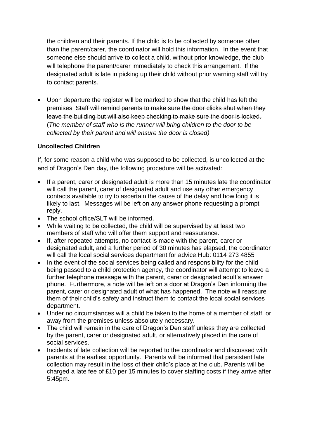the children and their parents. If the child is to be collected by someone other than the parent/carer, the coordinator will hold this information. In the event that someone else should arrive to collect a child, without prior knowledge, the club will telephone the parent/carer immediately to check this arrangement. If the designated adult is late in picking up their child without prior warning staff will try to contact parents.

• Upon departure the register will be marked to show that the child has left the premises. Staff will remind parents to make sure the door clicks shut when they leave the building but will also keep checking to make sure the door is locked. (*The member of staff who is the runner will bring children to the door to be collected by their parent and will ensure the door is closed)*

#### **Uncollected Children**

If, for some reason a child who was supposed to be collected, is uncollected at the end of Dragon's Den day, the following procedure will be activated:

- If a parent, carer or designated adult is more than 15 minutes late the coordinator will call the parent, carer of designated adult and use any other emergency contacts available to try to ascertain the cause of the delay and how long it is likely to last. Messages wil be left on any answer phone requesting a prompt reply.
- The school office/SLT will be informed.
- While waiting to be collected, the child will be supervised by at least two members of staff who will offer them support and reassurance.
- If, after repeated attempts, no contact is made with the parent, carer or designated adult, and a further period of 30 minutes has elapsed, the coordinator will call the local social services department for advice.Hub: 0114 273 4855
- In the event of the social services being called and responsibility for the child being passed to a child protection agency, the coordinator will attempt to leave a further telephone message with the parent, carer or designated adult's answer phone. Furthermore, a note will be left on a door at Dragon's Den informing the parent, carer or designated adult of what has happened. The note will reassure them of their child's safety and instruct them to contact the local social services department.
- Under no circumstances will a child be taken to the home of a member of staff, or away from the premises unless absolutely necessary.
- The child will remain in the care of Dragon's Den staff unless they are collected by the parent, carer or designated adult, or alternatively placed in the care of social services.
- Incidents of late collection will be reported to the coordinator and discussed with parents at the earliest opportunity. Parents will be informed that persistent late collection may result in the loss of their child's place at the club. Parents will be charged a late fee of £10 per 15 minutes to cover staffing costs if they arrive after 5:45pm.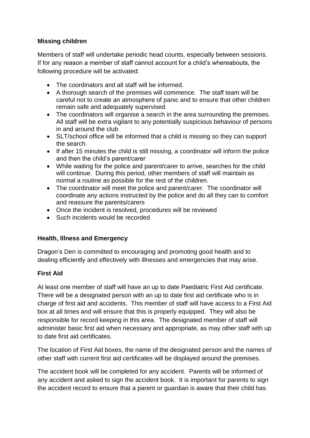#### **Missing children**

Members of staff will undertake periodic head counts, especially between sessions. If for any reason a member of staff cannot account for a child's whereabouts, the following procedure will be activated:

- The coordinators and all staff will be informed.
- A thorough search of the premises will commence. The staff team will be careful not to create an atmosphere of panic and to ensure that other children remain safe and adequately supervised.
- The coordinators will organise a search in the area surrounding the premises. All staff will be extra vigilant to any potentially suspicious behaviour of persons in and around the club
- SLT/school office will be informed that a child is missing so they can support the search.
- If after 15 minutes the child is still missing, a coordinator will inform the police and then the child's parent/carer
- While waiting for the police and parent/carer to arrive, searches for the child will continue. During this period, other members of staff will maintain as normal a routine as possible for the rest of the children.
- The coordinator will meet the police and parent/carer. The coordinator will coordinate any actions instructed by the police and do all they can to comfort and reassure the parents/carers
- Once the incident is resolved, procedures will be reviewed
- Such incidents would be recorded

#### **Health, Illness and Emergency**

Dragon's Den is committed to encouraging and promoting good health and to dealing efficiently and effectively with illnesses and emergencies that may arise.

#### **First Aid**

At least one member of staff will have an up to date Paediatric First Aid certificate. There will be a designated person with an up to date first aid certificate who is in charge of first aid and accidents. This member of staff will have access to a First Aid box at all times and will ensure that this is properly equipped. They will also be responsible for record keeping in this area. The designated member of staff will administer basic first aid when necessary and appropriate, as may other staff with up to date first aid certificates.

The location of First Aid boxes, the name of the designated person and the names of other staff with current first aid certificates will be displayed around the premises.

The accident book will be completed for any accident. Parents will be informed of any accident and asked to sign the accident book. It is important for parents to sign the accident record to ensure that a parent or guardian is aware that their child has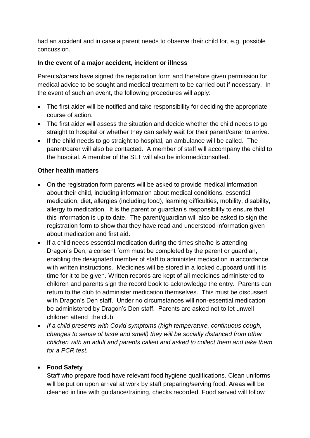had an accident and in case a parent needs to observe their child for, e.g. possible concussion.

#### **In the event of a major accident, incident or illness**

Parents/carers have signed the registration form and therefore given permission for medical advice to be sought and medical treatment to be carried out if necessary. In the event of such an event, the following procedures will apply:

- The first aider will be notified and take responsibility for deciding the appropriate course of action.
- The first aider will assess the situation and decide whether the child needs to go straight to hospital or whether they can safely wait for their parent/carer to arrive.
- If the child needs to go straight to hospital, an ambulance will be called. The parent/carer will also be contacted. A member of staff will accompany the child to the hospital. A member of the SLT will also be informed/consulted.

#### **Other health matters**

- On the registration form parents will be asked to provide medical information about their child, including information about medical conditions, essential medication, diet, allergies (including food), learning difficulties, mobility, disability, allergy to medication. It is the parent or guardian's responsibility to ensure that this information is up to date. The parent/guardian will also be asked to sign the registration form to show that they have read and understood information given about medication and first aid.
- If a child needs essential medication during the times she/he is attending Dragon's Den, a consent form must be completed by the parent or guardian, enabling the designated member of staff to administer medication in accordance with written instructions. Medicines will be stored in a locked cupboard until it is time for it to be given. Written records are kept of all medicines administered to children and parents sign the record book to acknowledge the entry. Parents can return to the club to administer medication themselves. This must be discussed with Dragon's Den staff. Under no circumstances will non-essential medication be administered by Dragon's Den staff. Parents are asked not to let unwell children attend the club.
- *If a child presents with Covid symptoms (high temperature, continuous cough, changes to sense of taste and smell) they will be socially distanced from other children with an adult and parents called and asked to collect them and take them for a PCR test.*

#### • **Food Safety**

Staff who prepare food have relevant food hygiene qualifications. Clean uniforms will be put on upon arrival at work by staff preparing/serving food. Areas will be cleaned in line with guidance/training, checks recorded. Food served will follow